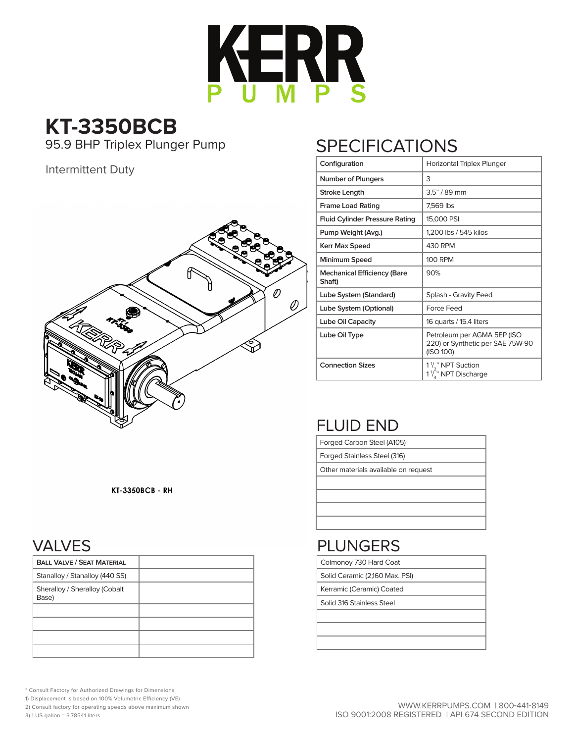

# **KT-3350BCB**

95.9 BHP Triplex Plunger Pump

#### Intermittent Duty



## **SPECIFICATIONS**

| Configuration                                | Horizontal Triplex Plunger                                                      |
|----------------------------------------------|---------------------------------------------------------------------------------|
| <b>Number of Plungers</b>                    | 3                                                                               |
| Stroke Length                                | $3.5" / 89$ mm                                                                  |
| <b>Frame Load Rating</b>                     | 7.569 lbs                                                                       |
| <b>Fluid Cylinder Pressure Rating</b>        | 15,000 PSI                                                                      |
| Pump Weight (Avg.)                           | 1,200 lbs / 545 kilos                                                           |
| Kerr Max Speed                               | 430 RPM                                                                         |
| Minimum Speed                                | <b>100 RPM</b>                                                                  |
| <b>Mechanical Efficiency (Bare</b><br>Shaft) | 90%                                                                             |
| Lube System (Standard)                       | Splash - Gravity Feed                                                           |
| Lube System (Optional)                       | Force Feed                                                                      |
| Lube Oil Capacity                            | 16 quarts / 15.4 liters                                                         |
| Lube Oil Type                                | Petroleum per AGMA 5EP (ISO<br>220) or Synthetic per SAE 75W-90<br>(ISO 100)    |
| <b>Connection Sizes</b>                      | 1 <sup>1</sup> / <sub>2</sub> " NPT Suction<br>1 <sup>1</sup> /," NPT Discharge |

### FLUID END

Forged Carbon Steel (A105)

Forged Stainless Steel (316)

Other materials available on request

### PLUNGERS

Colmonoy 730 Hard Coat

Solid Ceramic (2,160 Max. PSI)

Kerramic (Ceramic) Coated

Solid 316 Stainless Steel

**KT-3350BCB - RH** 

### VALVES

| <b>BALL VALVE / SEAT MATERIAL</b>      |  |
|----------------------------------------|--|
| Stanalloy / Stanalloy (440 SS)         |  |
| Sheralloy / Sheralloy (Cobalt<br>Base) |  |
|                                        |  |
|                                        |  |
|                                        |  |
|                                        |  |

\* Consult Factory for Authorized Drawings for Dimensions

1) Displacement is based on 100% Volumetric Efficiency (VE)

2) Consult factory for operating speeds above maximum shown

3) 1 US gallon = 3.78541 liters